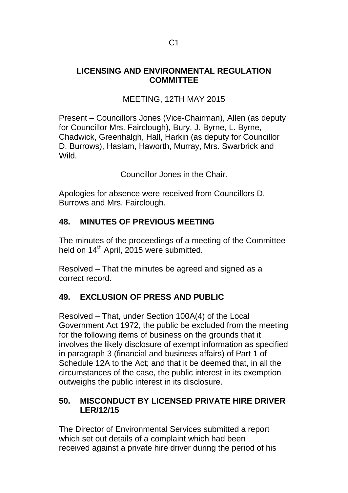#### **LICENSING AND ENVIRONMENTAL REGULATION COMMITTEE**

# MEETING, 12TH MAY 2015

Present – Councillors Jones (Vice-Chairman), Allen (as deputy for Councillor Mrs. Fairclough), Bury, J. Byrne, L. Byrne, Chadwick, Greenhalgh, Hall, Harkin (as deputy for Councillor D. Burrows), Haslam, Haworth, Murray, Mrs. Swarbrick and Wild.

Councillor Jones in the Chair.

Apologies for absence were received from Councillors D. Burrows and Mrs. Fairclough.

## **48. MINUTES OF PREVIOUS MEETING**

The minutes of the proceedings of a meeting of the Committee held on 14<sup>th</sup> April, 2015 were submitted.

Resolved – That the minutes be agreed and signed as a correct record.

## **49. EXCLUSION OF PRESS AND PUBLIC**

Resolved – That, under Section 100A(4) of the Local Government Act 1972, the public be excluded from the meeting for the following items of business on the grounds that it involves the likely disclosure of exempt information as specified in paragraph 3 (financial and business affairs) of Part 1 of Schedule 12A to the Act; and that it be deemed that, in all the circumstances of the case, the public interest in its exemption outweighs the public interest in its disclosure.

#### **50. MISCONDUCT BY LICENSED PRIVATE HIRE DRIVER LER/12/15**

The Director of Environmental Services submitted a report which set out details of a complaint which had been received against a private hire driver during the period of his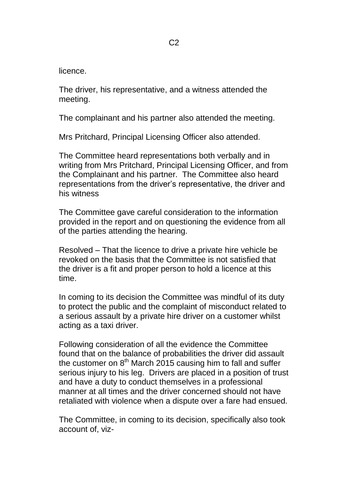licence.

The driver, his representative, and a witness attended the meeting.

The complainant and his partner also attended the meeting.

Mrs Pritchard, Principal Licensing Officer also attended.

The Committee heard representations both verbally and in writing from Mrs Pritchard, Principal Licensing Officer, and from the Complainant and his partner. The Committee also heard representations from the driver's representative, the driver and his witness

The Committee gave careful consideration to the information provided in the report and on questioning the evidence from all of the parties attending the hearing.

Resolved – That the licence to drive a private hire vehicle be revoked on the basis that the Committee is not satisfied that the driver is a fit and proper person to hold a licence at this time.

In coming to its decision the Committee was mindful of its duty to protect the public and the complaint of misconduct related to a serious assault by a private hire driver on a customer whilst acting as a taxi driver.

Following consideration of all the evidence the Committee found that on the balance of probabilities the driver did assault the customer on  $8<sup>th</sup>$  March 2015 causing him to fall and suffer serious injury to his leg. Drivers are placed in a position of trust and have a duty to conduct themselves in a professional manner at all times and the driver concerned should not have retaliated with violence when a dispute over a fare had ensued.

The Committee, in coming to its decision, specifically also took account of, viz-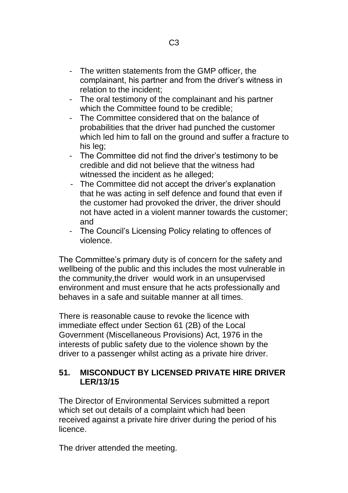- The written statements from the GMP officer, the complainant, his partner and from the driver's witness in relation to the incident;
- The oral testimony of the complainant and his partner which the Committee found to be credible;
- The Committee considered that on the balance of probabilities that the driver had punched the customer which led him to fall on the ground and suffer a fracture to his leg;
- The Committee did not find the driver's testimony to be credible and did not believe that the witness had witnessed the incident as he alleged;
- The Committee did not accept the driver's explanation that he was acting in self defence and found that even if the customer had provoked the driver, the driver should not have acted in a violent manner towards the customer; and
- The Council's Licensing Policy relating to offences of violence.

The Committee's primary duty is of concern for the safety and wellbeing of the public and this includes the most vulnerable in the community,the driver would work in an unsupervised environment and must ensure that he acts professionally and behaves in a safe and suitable manner at all times.

There is reasonable cause to revoke the licence with immediate effect under Section 61 (2B) of the Local Government (Miscellaneous Provisions) Act, 1976 in the interests of public safety due to the violence shown by the driver to a passenger whilst acting as a private hire driver.

#### **51. MISCONDUCT BY LICENSED PRIVATE HIRE DRIVER LER/13/15**

The Director of Environmental Services submitted a report which set out details of a complaint which had been received against a private hire driver during the period of his licence.

The driver attended the meeting.